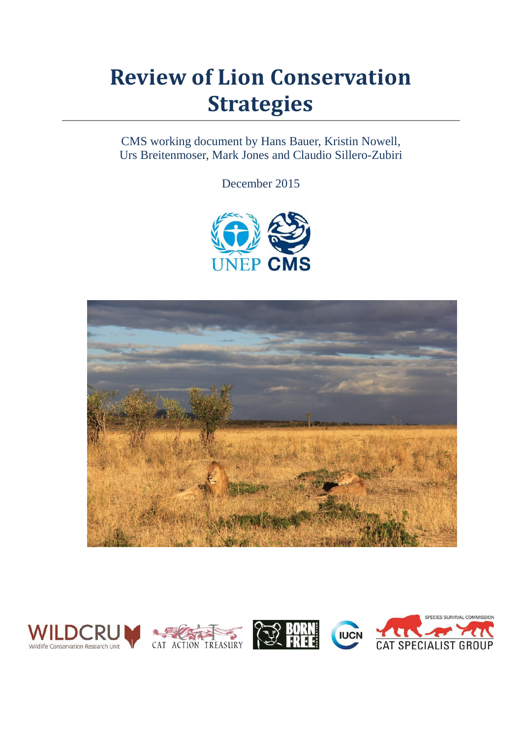# **Review of Lion Conservation Strategies**

CMS working document by Hans Bauer, Kristin Nowell, Urs Breitenmoser, Mark Jones and Claudio Sillero-Zubiri

December 2015





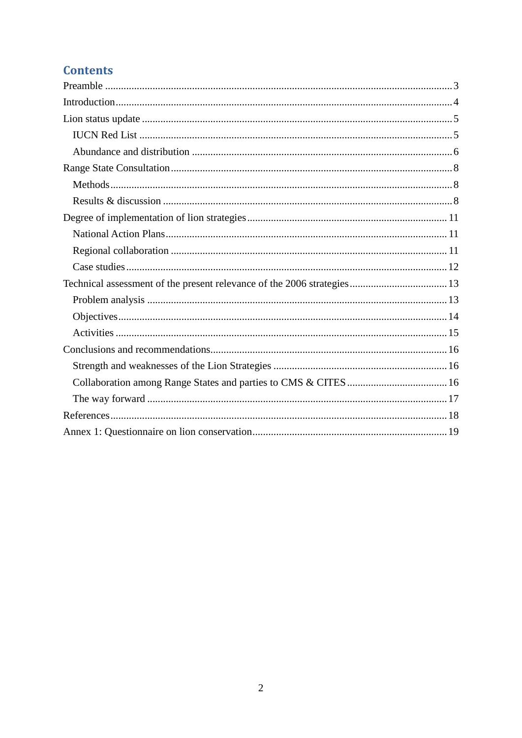# **Contents**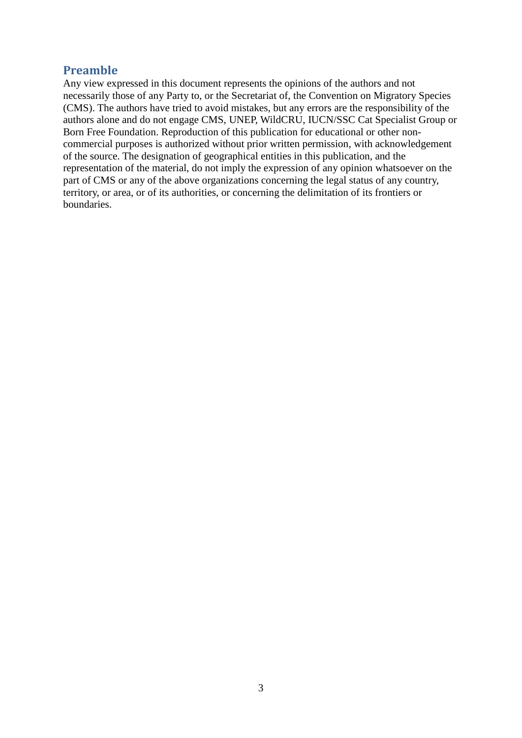## <span id="page-2-0"></span>**Preamble**

Any view expressed in this document represents the opinions of the authors and not necessarily those of any Party to, or the Secretariat of, the Convention on Migratory Species (CMS). The authors have tried to avoid mistakes, but any errors are the responsibility of the authors alone and do not engage CMS, UNEP, WildCRU, IUCN/SSC Cat Specialist Group or Born Free Foundation. Reproduction of this publication for educational or other noncommercial purposes is authorized without prior written permission, with acknowledgement of the source. The designation of geographical entities in this publication, and the representation of the material, do not imply the expression of any opinion whatsoever on the part of CMS or any of the above organizations concerning the legal status of any country, territory, or area, or of its authorities, or concerning the delimitation of its frontiers or boundaries.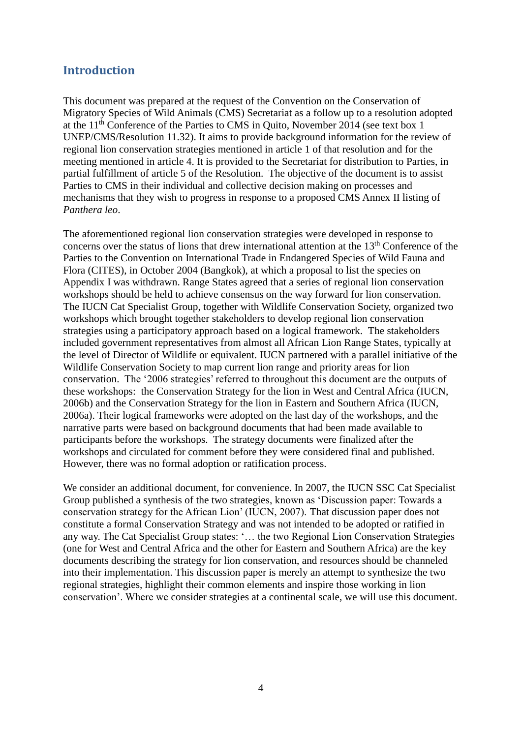## <span id="page-3-0"></span>**Introduction**

This document was prepared at the request of the Convention on the Conservation of Migratory Species of Wild Animals (CMS) Secretariat as a follow up to a resolution adopted at the 11th Conference of the Parties to CMS in Quito, November 2014 (see text box 1 UNEP/CMS/Resolution 11.32). It aims to provide background information for the review of regional lion conservation strategies mentioned in article 1 of that resolution and for the meeting mentioned in article 4. It is provided to the Secretariat for distribution to Parties, in partial fulfillment of article 5 of the Resolution. The objective of the document is to assist Parties to CMS in their individual and collective decision making on processes and mechanisms that they wish to progress in response to a proposed CMS Annex II listing of *Panthera leo*.

The aforementioned regional lion conservation strategies were developed in response to concerns over the status of lions that drew international attention at the 13th Conference of the Parties to the Convention on International Trade in Endangered Species of Wild Fauna and Flora (CITES), in October 2004 (Bangkok), at which a proposal to list the species on Appendix I was withdrawn. Range States agreed that a series of regional lion conservation workshops should be held to achieve consensus on the way forward for lion conservation. The IUCN Cat Specialist Group, together with Wildlife Conservation Society, organized two workshops which brought together stakeholders to develop regional lion conservation strategies using a participatory approach based on a logical framework. The stakeholders included government representatives from almost all African Lion Range States, typically at the level of Director of Wildlife or equivalent. IUCN partnered with a parallel initiative of the Wildlife Conservation Society to map current lion range and priority areas for lion conservation. The '2006 strategies' referred to throughout this document are the outputs of these workshops: the Conservation Strategy for the lion in West and Central Africa (IUCN, 2006b) and the Conservation Strategy for the lion in Eastern and Southern Africa (IUCN, 2006a). Their logical frameworks were adopted on the last day of the workshops, and the narrative parts were based on background documents that had been made available to participants before the workshops. The strategy documents were finalized after the workshops and circulated for comment before they were considered final and published. However, there was no formal adoption or ratification process.

We consider an additional document, for convenience. In 2007, the IUCN SSC Cat Specialist Group published a synthesis of the two strategies, known as 'Discussion paper: Towards a conservation strategy for the African Lion' (IUCN, 2007). That discussion paper does not constitute a formal Conservation Strategy and was not intended to be adopted or ratified in any way. The Cat Specialist Group states: '… the two Regional Lion Conservation Strategies (one for West and Central Africa and the other for Eastern and Southern Africa) are the key documents describing the strategy for lion conservation, and resources should be channeled into their implementation. This discussion paper is merely an attempt to synthesize the two regional strategies, highlight their common elements and inspire those working in lion conservation'. Where we consider strategies at a continental scale, we will use this document.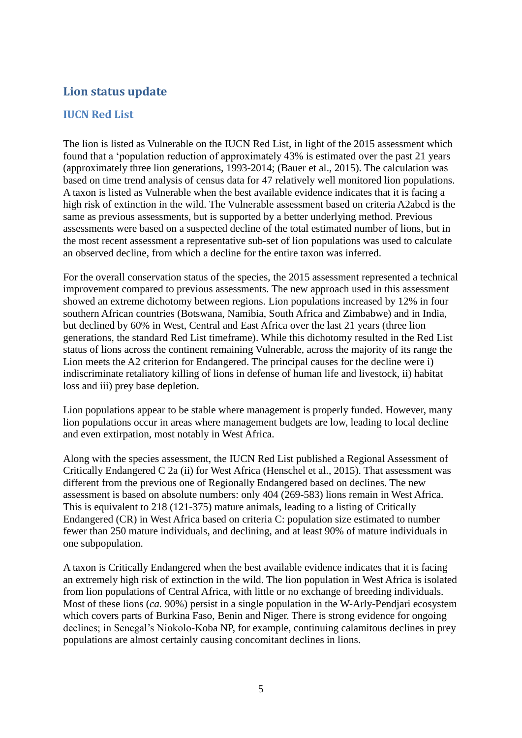## <span id="page-4-0"></span>**Lion status update**

#### <span id="page-4-1"></span>**IUCN Red List**

The lion is listed as Vulnerable on the IUCN Red List, in light of the 2015 assessment which found that a 'population reduction of approximately 43% is estimated over the past 21 years (approximately three lion generations, 1993-2014; (Bauer et al., 2015). The calculation was based on time trend analysis of census data for 47 relatively well monitored lion populations. A taxon is listed as Vulnerable when the best available evidence indicates that it is facing a high risk of extinction in the wild. The Vulnerable assessment based on criteria A2abcd is the same as previous assessments, but is supported by a better underlying method. Previous assessments were based on a suspected decline of the total estimated number of lions, but in the most recent assessment a representative sub-set of lion populations was used to calculate an observed decline, from which a decline for the entire taxon was inferred.

For the overall conservation status of the species, the 2015 assessment represented a technical improvement compared to previous assessments. The new approach used in this assessment showed an extreme dichotomy between regions. Lion populations increased by 12% in four southern African countries (Botswana, Namibia, South Africa and Zimbabwe) and in India, but declined by 60% in West, Central and East Africa over the last 21 years (three lion generations, the standard Red List timeframe). While this dichotomy resulted in the Red List status of lions across the continent remaining Vulnerable, across the majority of its range the Lion meets the A2 criterion for Endangered. The principal causes for the decline were i) indiscriminate retaliatory killing of lions in defense of human life and livestock, ii) habitat loss and iii) prey base depletion.

Lion populations appear to be stable where management is properly funded. However, many lion populations occur in areas where management budgets are low, leading to local decline and even extirpation, most notably in West Africa.

Along with the species assessment, the IUCN Red List published a Regional Assessment of Critically Endangered C 2a (ii) for West Africa (Henschel et al., 2015). That assessment was different from the previous one of Regionally Endangered based on declines. The new assessment is based on absolute numbers: only 404 (269-583) lions remain in West Africa. This is equivalent to 218 (121-375) mature animals, leading to a listing of Critically Endangered (CR) in West Africa based on criteria C: population size estimated to number fewer than 250 mature individuals, and declining, and at least 90% of mature individuals in one subpopulation.

A taxon is Critically Endangered when the best available evidence indicates that it is facing an extremely high risk of extinction in the wild. The lion population in West Africa is isolated from lion populations of Central Africa, with little or no exchange of breeding individuals. Most of these lions (*ca.* 90%) persist in a single population in the W-Arly-Pendjari ecosystem which covers parts of Burkina Faso, Benin and Niger. There is strong evidence for ongoing declines; in Senegal's Niokolo-Koba NP, for example, continuing calamitous declines in prey populations are almost certainly causing concomitant declines in lions.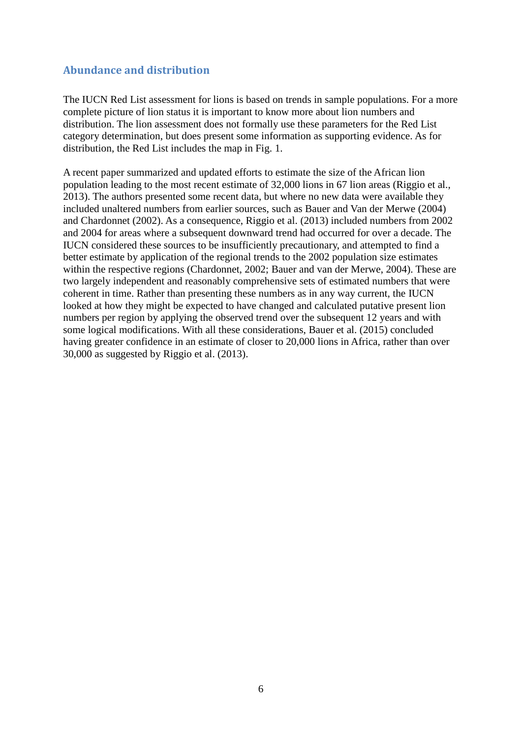#### <span id="page-5-0"></span>**Abundance and distribution**

The IUCN Red List assessment for lions is based on trends in sample populations. For a more complete picture of lion status it is important to know more about lion numbers and distribution. The lion assessment does not formally use these parameters for the Red List category determination, but does present some information as supporting evidence. As for distribution, the Red List includes the map in Fig. 1.

A recent paper summarized and updated efforts to estimate the size of the African lion population leading to the most recent estimate of 32,000 lions in 67 lion areas (Riggio et al., 2013). The authors presented some recent data, but where no new data were available they included unaltered numbers from earlier sources, such as Bauer and Van der Merwe (2004) and Chardonnet (2002). As a consequence, Riggio et al. (2013) included numbers from 2002 and 2004 for areas where a subsequent downward trend had occurred for over a decade. The IUCN considered these sources to be insufficiently precautionary, and attempted to find a better estimate by application of the regional trends to the 2002 population size estimates within the respective regions (Chardonnet, 2002; Bauer and van der Merwe, 2004). These are two largely independent and reasonably comprehensive sets of estimated numbers that were coherent in time. Rather than presenting these numbers as in any way current, the IUCN looked at how they might be expected to have changed and calculated putative present lion numbers per region by applying the observed trend over the subsequent 12 years and with some logical modifications. With all these considerations, Bauer et al. (2015) concluded having greater confidence in an estimate of closer to 20,000 lions in Africa, rather than over 30,000 as suggested by Riggio et al. (2013).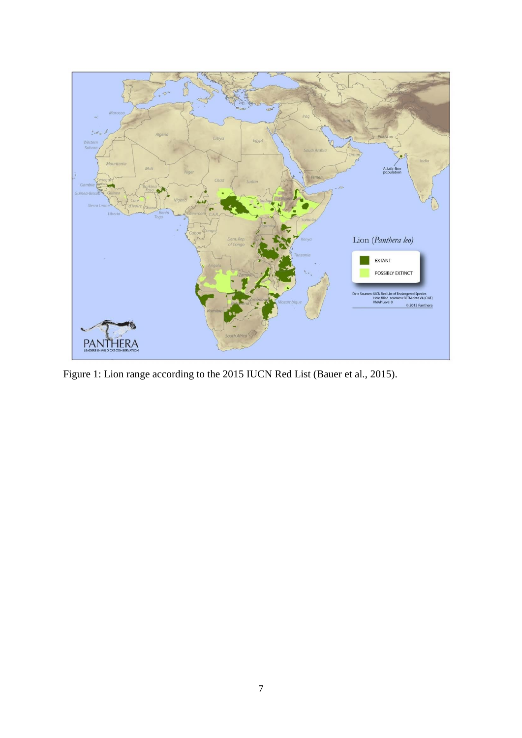

Figure 1: Lion range according to the 2015 IUCN Red List (Bauer et al., 2015).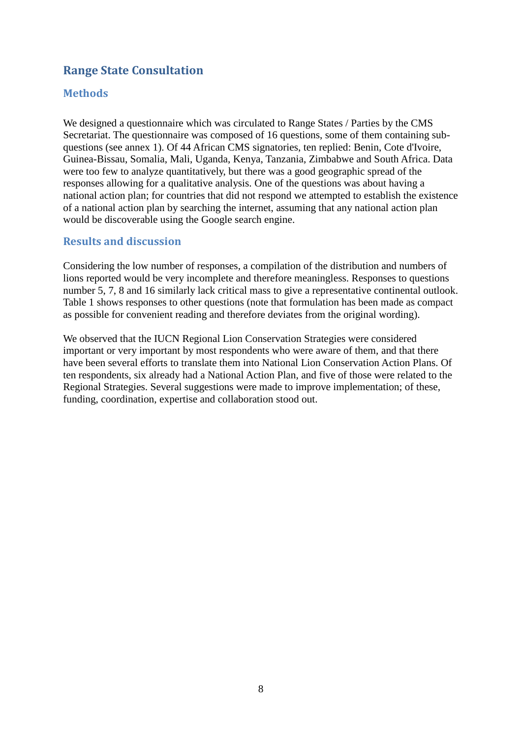# <span id="page-7-0"></span>**Range State Consultation**

#### <span id="page-7-1"></span>**Methods**

We designed a questionnaire which was circulated to Range States / Parties by the CMS Secretariat. The questionnaire was composed of 16 questions, some of them containing subquestions (see annex 1). Of 44 African CMS signatories, ten replied: Benin, Cote d'Ivoire, Guinea-Bissau, Somalia, Mali, Uganda, Kenya, Tanzania, Zimbabwe and South Africa. Data were too few to analyze quantitatively, but there was a good geographic spread of the responses allowing for a qualitative analysis. One of the questions was about having a national action plan; for countries that did not respond we attempted to establish the existence of a national action plan by searching the internet, assuming that any national action plan would be discoverable using the Google search engine.

#### <span id="page-7-2"></span>**Results and discussion**

Considering the low number of responses, a compilation of the distribution and numbers of lions reported would be very incomplete and therefore meaningless. Responses to questions number 5, 7, 8 and 16 similarly lack critical mass to give a representative continental outlook. Table 1 shows responses to other questions (note that formulation has been made as compact as possible for convenient reading and therefore deviates from the original wording).

We observed that the IUCN Regional Lion Conservation Strategies were considered important or very important by most respondents who were aware of them, and that there have been several efforts to translate them into National Lion Conservation Action Plans. Of ten respondents, six already had a National Action Plan, and five of those were related to the Regional Strategies. Several suggestions were made to improve implementation; of these, funding, coordination, expertise and collaboration stood out.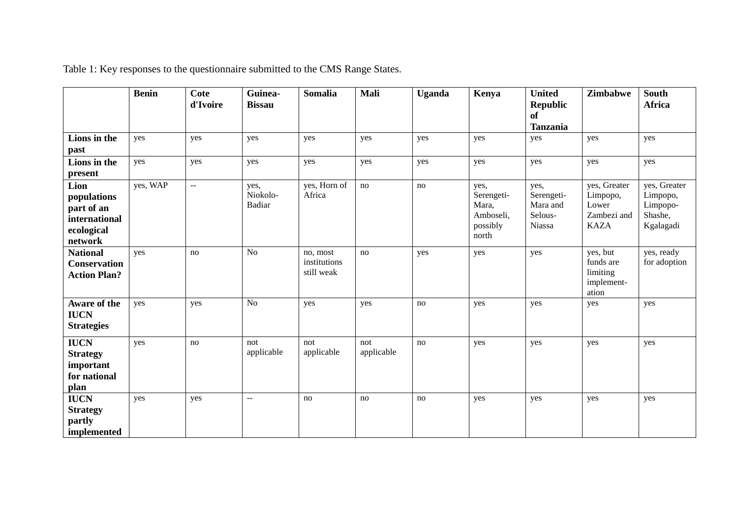|                                                                                    | <b>Benin</b> | <b>Cote</b><br>d'Ivoire   | Guinea-<br><b>Bissau</b>   | <b>Somalia</b>                         | Mali              | <b>Uganda</b> | Kenya                                                         | <b>United</b><br><b>Republic</b><br><b>of</b><br><b>Tanzania</b> | Zimbabwe                                                        | <b>South</b><br><b>Africa</b>                                |
|------------------------------------------------------------------------------------|--------------|---------------------------|----------------------------|----------------------------------------|-------------------|---------------|---------------------------------------------------------------|------------------------------------------------------------------|-----------------------------------------------------------------|--------------------------------------------------------------|
| Lions in the<br>past                                                               | yes          | yes                       | yes                        | yes                                    | yes               | yes           | yes                                                           | yes                                                              | yes                                                             | yes                                                          |
| Lions in the<br>present                                                            | yes          | yes                       | yes                        | yes                                    | yes               | yes           | yes                                                           | yes                                                              | yes                                                             | yes                                                          |
| Lion<br>populations<br>part of an<br><i>international</i><br>ecological<br>network | yes, WAP     | $\mathbb{L}^{\mathbb{L}}$ | yes,<br>Niokolo-<br>Badiar | yes, Horn of<br>Africa                 | no                | no            | yes,<br>Serengeti-<br>Mara,<br>Amboseli,<br>possibly<br>north | yes,<br>Serengeti-<br>Mara and<br>Selous-<br>Niassa              | yes, Greater<br>Limpopo,<br>Lower<br>Zambezi and<br><b>KAZA</b> | yes, Greater<br>Limpopo,<br>Limpopo-<br>Shashe,<br>Kgalagadi |
| <b>National</b><br><b>Conservation</b><br><b>Action Plan?</b>                      | yes          | no                        | N <sub>o</sub>             | no, most<br>institutions<br>still weak | no                | yes           | yes                                                           | yes                                                              | yes, but<br>funds are<br>limiting<br>implement-<br>ation        | yes, ready<br>for adoption                                   |
| Aware of the<br><b>IUCN</b><br><b>Strategies</b>                                   | yes          | yes                       | N <sub>o</sub>             | yes                                    | yes               | no            | yes                                                           | yes                                                              | yes                                                             | yes                                                          |
| <b>IUCN</b><br><b>Strategy</b><br>important<br>for national<br>plan                | yes          | no                        | not<br>applicable          | not<br>applicable                      | not<br>applicable | no            | yes                                                           | yes                                                              | yes                                                             | yes                                                          |
| <b>IUCN</b><br><b>Strategy</b><br>partly<br>implemented                            | yes          | yes                       | $\sim$ $\sim$              | no                                     | no                | no            | yes                                                           | yes                                                              | yes                                                             | yes                                                          |

Table 1: Key responses to the questionnaire submitted to the CMS Range States.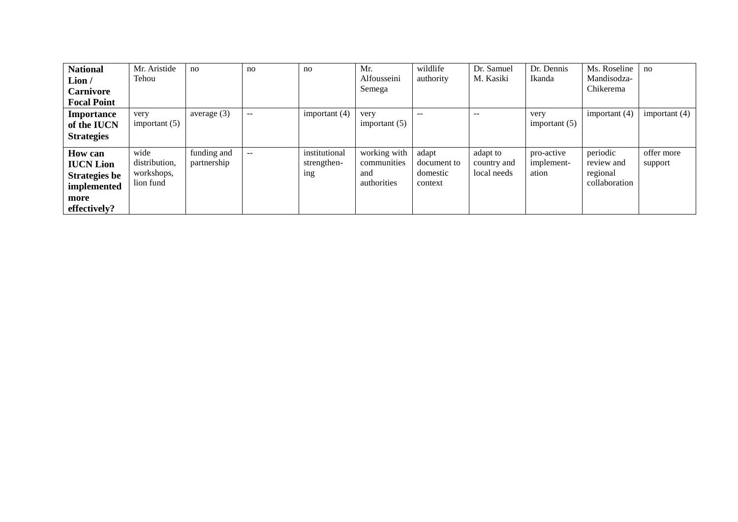| <b>National</b>      | Mr. Aristide    | no            | no            | no              | Mr.             | wildlife    | Dr. Samuel  | Dr. Dennis      | Ms. Roseline    | no              |
|----------------------|-----------------|---------------|---------------|-----------------|-----------------|-------------|-------------|-----------------|-----------------|-----------------|
| Lion/                | Tehou           |               |               |                 | Alfousseini     | authority   | M. Kasiki   | Ikanda          | Mandisodza-     |                 |
| <b>Carnivore</b>     |                 |               |               |                 | Semega          |             |             |                 | Chikerema       |                 |
| <b>Focal Point</b>   |                 |               |               |                 |                 |             |             |                 |                 |                 |
| Importance           | very            | average $(3)$ | $- -$         | important $(4)$ | very            | $- -$       | $-$         | very            | important $(4)$ | important $(4)$ |
| of the IUCN          | important $(5)$ |               |               |                 | important $(5)$ |             |             | important $(5)$ |                 |                 |
| <b>Strategies</b>    |                 |               |               |                 |                 |             |             |                 |                 |                 |
| <b>How can</b>       | wide            | funding and   | $\sim$ $\sim$ | institutional   | working with    | adapt       | adapt to    | pro-active      | periodic        | offer more      |
| <b>IUCN Lion</b>     | distribution,   | partnership   |               | strengthen-     | communities     | document to | country and | implement-      | review and      | support         |
| <b>Strategies be</b> | workshops,      |               |               | <sub>1</sub> ng | and             | domestic    | local needs | ation           | regional        |                 |
| implemented          | lion fund       |               |               |                 | authorities     | context     |             |                 | collaboration   |                 |
| more                 |                 |               |               |                 |                 |             |             |                 |                 |                 |
| effectively?         |                 |               |               |                 |                 |             |             |                 |                 |                 |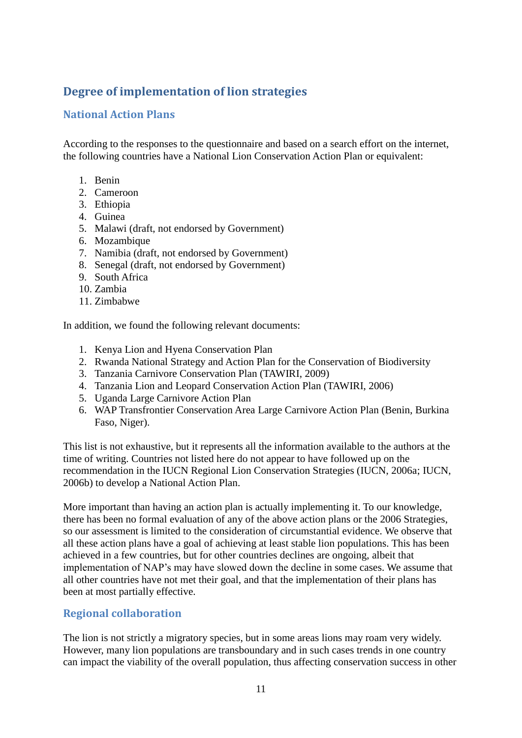# <span id="page-10-0"></span>**Degree of implementation of lion strategies**

## <span id="page-10-1"></span>**National Action Plans**

According to the responses to the questionnaire and based on a search effort on the internet, the following countries have a National Lion Conservation Action Plan or equivalent:

- 1. Benin
- 2. Cameroon
- 3. Ethiopia
- 4. Guinea
- 5. Malawi (draft, not endorsed by Government)
- 6. Mozambique
- 7. Namibia (draft, not endorsed by Government)
- 8. Senegal (draft, not endorsed by Government)
- 9. South Africa
- 10. Zambia
- 11. Zimbabwe

In addition, we found the following relevant documents:

- 1. Kenya Lion and Hyena Conservation Plan
- 2. Rwanda National Strategy and Action Plan for the Conservation of Biodiversity
- 3. Tanzania Carnivore Conservation Plan (TAWIRI, 2009)
- 4. Tanzania Lion and Leopard Conservation Action Plan (TAWIRI, 2006)
- 5. Uganda Large Carnivore Action Plan
- 6. WAP Transfrontier Conservation Area Large Carnivore Action Plan (Benin, Burkina Faso, Niger).

This list is not exhaustive, but it represents all the information available to the authors at the time of writing. Countries not listed here do not appear to have followed up on the recommendation in the IUCN Regional Lion Conservation Strategies (IUCN, 2006a; IUCN, 2006b) to develop a National Action Plan.

More important than having an action plan is actually implementing it. To our knowledge, there has been no formal evaluation of any of the above action plans or the 2006 Strategies, so our assessment is limited to the consideration of circumstantial evidence. We observe that all these action plans have a goal of achieving at least stable lion populations. This has been achieved in a few countries, but for other countries declines are ongoing, albeit that implementation of NAP's may have slowed down the decline in some cases. We assume that all other countries have not met their goal, and that the implementation of their plans has been at most partially effective.

#### <span id="page-10-2"></span>**Regional collaboration**

The lion is not strictly a migratory species, but in some areas lions may roam very widely. However, many lion populations are transboundary and in such cases trends in one country can impact the viability of the overall population, thus affecting conservation success in other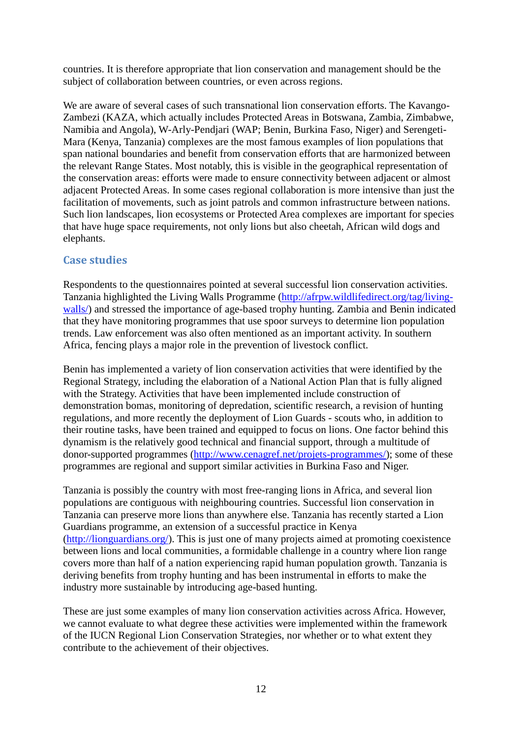countries. It is therefore appropriate that lion conservation and management should be the subject of collaboration between countries, or even across regions.

We are aware of several cases of such transnational lion conservation efforts. The Kavango-Zambezi (KAZA, which actually includes Protected Areas in Botswana, Zambia, Zimbabwe, Namibia and Angola), W-Arly-Pendjari (WAP; Benin, Burkina Faso, Niger) and Serengeti-Mara (Kenya, Tanzania) complexes are the most famous examples of lion populations that span national boundaries and benefit from conservation efforts that are harmonized between the relevant Range States. Most notably, this is visible in the geographical representation of the conservation areas: efforts were made to ensure connectivity between adjacent or almost adjacent Protected Areas. In some cases regional collaboration is more intensive than just the facilitation of movements, such as joint patrols and common infrastructure between nations. Such lion landscapes, lion ecosystems or Protected Area complexes are important for species that have huge space requirements, not only lions but also cheetah, African wild dogs and elephants.

#### <span id="page-11-0"></span>**Case studies**

Respondents to the questionnaires pointed at several successful lion conservation activities. Tanzania highlighted the Living Walls Programme [\(http://afrpw.wildlifedirect.org/tag/living](http://afrpw.wildlifedirect.org/tag/living-walls/)[walls/\)](http://afrpw.wildlifedirect.org/tag/living-walls/) and stressed the importance of age-based trophy hunting. Zambia and Benin indicated that they have monitoring programmes that use spoor surveys to determine lion population trends. Law enforcement was also often mentioned as an important activity. In southern Africa, fencing plays a major role in the prevention of livestock conflict.

Benin has implemented a variety of lion conservation activities that were identified by the Regional Strategy, including the elaboration of a National Action Plan that is fully aligned with the Strategy. Activities that have been implemented include construction of demonstration bomas, monitoring of depredation, scientific research, a revision of hunting regulations, and more recently the deployment of Lion Guards - scouts who, in addition to their routine tasks, have been trained and equipped to focus on lions. One factor behind this dynamism is the relatively good technical and financial support, through a multitude of donor-supported programmes [\(http://www.cenagref.net/projets-programmes/\)](http://www.cenagref.net/projets-programmes/); some of these programmes are regional and support similar activities in Burkina Faso and Niger.

Tanzania is possibly the country with most free-ranging lions in Africa, and several lion populations are contiguous with neighbouring countries. Successful lion conservation in Tanzania can preserve more lions than anywhere else. Tanzania has recently started a Lion Guardians programme, an extension of a successful practice in Kenya [\(http://lionguardians.org/\)](http://lionguardians.org/). This is just one of many projects aimed at promoting coexistence between lions and local communities, a formidable challenge in a country where lion range covers more than half of a nation experiencing rapid human population growth. Tanzania is deriving benefits from trophy hunting and has been instrumental in efforts to make the industry more sustainable by introducing age-based hunting.

These are just some examples of many lion conservation activities across Africa. However, we cannot evaluate to what degree these activities were implemented within the framework of the IUCN Regional Lion Conservation Strategies, nor whether or to what extent they contribute to the achievement of their objectives.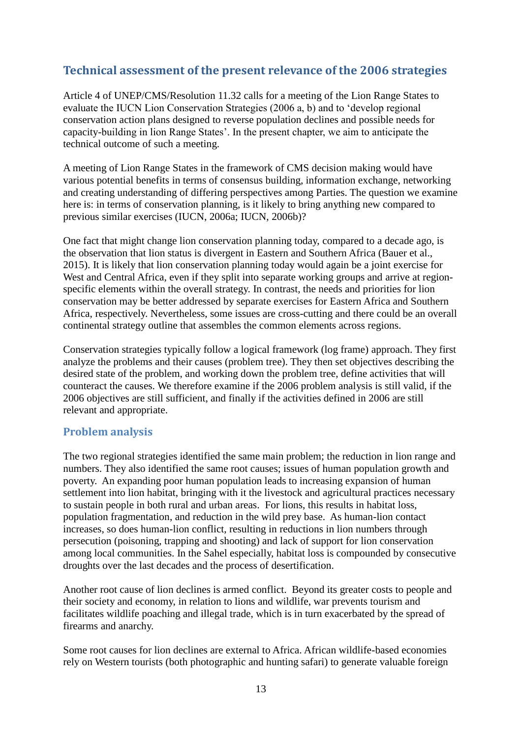# <span id="page-12-0"></span>**Technical assessment of the present relevance of the 2006 strategies**

Article 4 of UNEP/CMS/Resolution 11.32 calls for a meeting of the Lion Range States to evaluate the IUCN Lion Conservation Strategies (2006 a, b) and to 'develop regional conservation action plans designed to reverse population declines and possible needs for capacity-building in lion Range States'. In the present chapter, we aim to anticipate the technical outcome of such a meeting.

A meeting of Lion Range States in the framework of CMS decision making would have various potential benefits in terms of consensus building, information exchange, networking and creating understanding of differing perspectives among Parties. The question we examine here is: in terms of conservation planning, is it likely to bring anything new compared to previous similar exercises (IUCN, 2006a; IUCN, 2006b)?

One fact that might change lion conservation planning today, compared to a decade ago, is the observation that lion status is divergent in Eastern and Southern Africa (Bauer et al., 2015). It is likely that lion conservation planning today would again be a joint exercise for West and Central Africa, even if they split into separate working groups and arrive at regionspecific elements within the overall strategy. In contrast, the needs and priorities for lion conservation may be better addressed by separate exercises for Eastern Africa and Southern Africa, respectively. Nevertheless, some issues are cross-cutting and there could be an overall continental strategy outline that assembles the common elements across regions.

Conservation strategies typically follow a logical framework (log frame) approach. They first analyze the problems and their causes (problem tree). They then set objectives describing the desired state of the problem, and working down the problem tree, define activities that will counteract the causes. We therefore examine if the 2006 problem analysis is still valid, if the 2006 objectives are still sufficient, and finally if the activities defined in 2006 are still relevant and appropriate.

#### <span id="page-12-1"></span>**Problem analysis**

The two regional strategies identified the same main problem; the reduction in lion range and numbers. They also identified the same root causes; issues of human population growth and poverty. An expanding poor human population leads to increasing expansion of human settlement into lion habitat, bringing with it the livestock and agricultural practices necessary to sustain people in both rural and urban areas. For lions, this results in habitat loss, population fragmentation, and reduction in the wild prey base. As human-lion contact increases, so does human-lion conflict, resulting in reductions in lion numbers through persecution (poisoning, trapping and shooting) and lack of support for lion conservation among local communities. In the Sahel especially, habitat loss is compounded by consecutive droughts over the last decades and the process of desertification.

Another root cause of lion declines is armed conflict. Beyond its greater costs to people and their society and economy, in relation to lions and wildlife, war prevents tourism and facilitates wildlife poaching and illegal trade, which is in turn exacerbated by the spread of firearms and anarchy.

Some root causes for lion declines are external to Africa. African wildlife-based economies rely on Western tourists (both photographic and hunting safari) to generate valuable foreign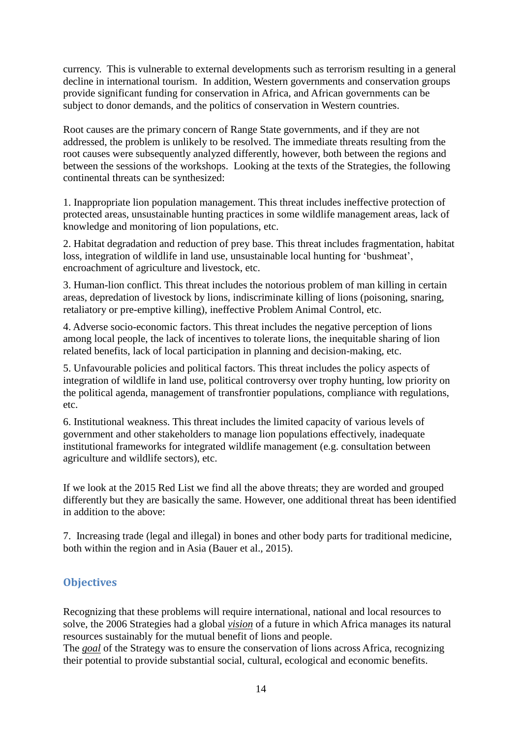currency. This is vulnerable to external developments such as terrorism resulting in a general decline in international tourism. In addition, Western governments and conservation groups provide significant funding for conservation in Africa, and African governments can be subject to donor demands, and the politics of conservation in Western countries.

Root causes are the primary concern of Range State governments, and if they are not addressed, the problem is unlikely to be resolved. The immediate threats resulting from the root causes were subsequently analyzed differently, however, both between the regions and between the sessions of the workshops. Looking at the texts of the Strategies, the following continental threats can be synthesized:

1. Inappropriate lion population management. This threat includes ineffective protection of protected areas, unsustainable hunting practices in some wildlife management areas, lack of knowledge and monitoring of lion populations, etc.

2. Habitat degradation and reduction of prey base. This threat includes fragmentation, habitat loss, integration of wildlife in land use, unsustainable local hunting for 'bushmeat', encroachment of agriculture and livestock, etc.

3. Human-lion conflict. This threat includes the notorious problem of man killing in certain areas, depredation of livestock by lions, indiscriminate killing of lions (poisoning, snaring, retaliatory or pre-emptive killing), ineffective Problem Animal Control, etc.

4. Adverse socio-economic factors. This threat includes the negative perception of lions among local people, the lack of incentives to tolerate lions, the inequitable sharing of lion related benefits, lack of local participation in planning and decision-making, etc.

5. Unfavourable policies and political factors. This threat includes the policy aspects of integration of wildlife in land use, political controversy over trophy hunting, low priority on the political agenda, management of transfrontier populations, compliance with regulations, etc.

6. Institutional weakness. This threat includes the limited capacity of various levels of government and other stakeholders to manage lion populations effectively, inadequate institutional frameworks for integrated wildlife management (e.g. consultation between agriculture and wildlife sectors), etc.

If we look at the 2015 Red List we find all the above threats; they are worded and grouped differently but they are basically the same. However, one additional threat has been identified in addition to the above:

7. Increasing trade (legal and illegal) in bones and other body parts for traditional medicine, both within the region and in Asia (Bauer et al., 2015).

#### <span id="page-13-0"></span>**Objectives**

Recognizing that these problems will require international, national and local resources to solve, the 2006 Strategies had a global *vision* of a future in which Africa manages its natural resources sustainably for the mutual benefit of lions and people.

The *goal* of the Strategy was to ensure the conservation of lions across Africa, recognizing their potential to provide substantial social, cultural, ecological and economic benefits.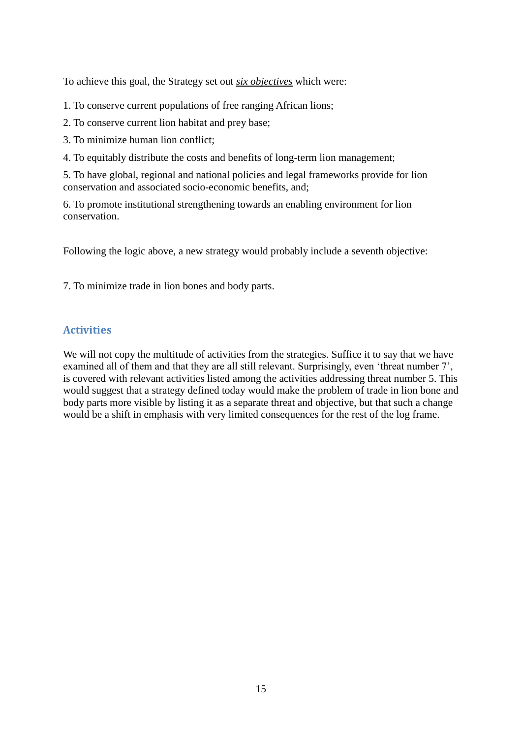To achieve this goal, the Strategy set out *six objectives* which were:

- 1. To conserve current populations of free ranging African lions;
- 2. To conserve current lion habitat and prey base;
- 3. To minimize human lion conflict;
- 4. To equitably distribute the costs and benefits of long-term lion management;

5. To have global, regional and national policies and legal frameworks provide for lion conservation and associated socio-economic benefits, and;

6. To promote institutional strengthening towards an enabling environment for lion conservation.

Following the logic above, a new strategy would probably include a seventh objective:

7. To minimize trade in lion bones and body parts.

## <span id="page-14-0"></span>**Activities**

We will not copy the multitude of activities from the strategies. Suffice it to say that we have examined all of them and that they are all still relevant. Surprisingly, even 'threat number 7', is covered with relevant activities listed among the activities addressing threat number 5. This would suggest that a strategy defined today would make the problem of trade in lion bone and body parts more visible by listing it as a separate threat and objective, but that such a change would be a shift in emphasis with very limited consequences for the rest of the log frame.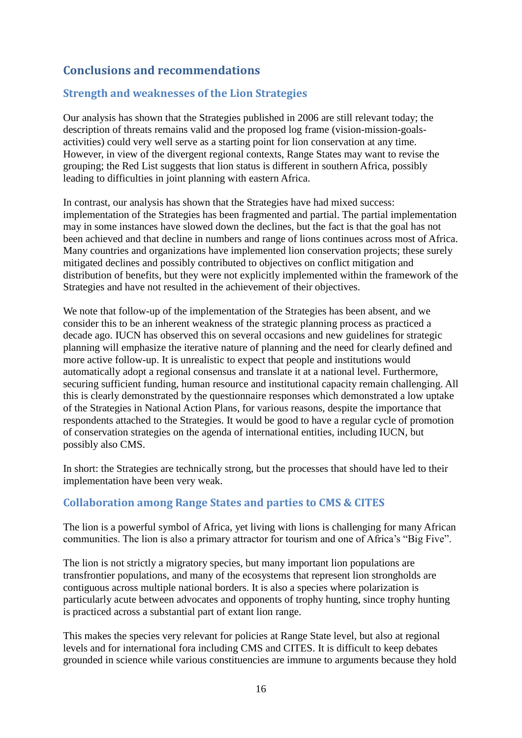# <span id="page-15-0"></span>**Conclusions and recommendations**

### <span id="page-15-1"></span>**Strength and weaknesses of the Lion Strategies**

Our analysis has shown that the Strategies published in 2006 are still relevant today; the description of threats remains valid and the proposed log frame (vision-mission-goalsactivities) could very well serve as a starting point for lion conservation at any time. However, in view of the divergent regional contexts, Range States may want to revise the grouping; the Red List suggests that lion status is different in southern Africa, possibly leading to difficulties in joint planning with eastern Africa.

In contrast, our analysis has shown that the Strategies have had mixed success: implementation of the Strategies has been fragmented and partial. The partial implementation may in some instances have slowed down the declines, but the fact is that the goal has not been achieved and that decline in numbers and range of lions continues across most of Africa. Many countries and organizations have implemented lion conservation projects; these surely mitigated declines and possibly contributed to objectives on conflict mitigation and distribution of benefits, but they were not explicitly implemented within the framework of the Strategies and have not resulted in the achievement of their objectives.

We note that follow-up of the implementation of the Strategies has been absent, and we consider this to be an inherent weakness of the strategic planning process as practiced a decade ago. IUCN has observed this on several occasions and new guidelines for strategic planning will emphasize the iterative nature of planning and the need for clearly defined and more active follow-up. It is unrealistic to expect that people and institutions would automatically adopt a regional consensus and translate it at a national level. Furthermore, securing sufficient funding, human resource and institutional capacity remain challenging. All this is clearly demonstrated by the questionnaire responses which demonstrated a low uptake of the Strategies in National Action Plans, for various reasons, despite the importance that respondents attached to the Strategies. It would be good to have a regular cycle of promotion of conservation strategies on the agenda of international entities, including IUCN, but possibly also CMS.

In short: the Strategies are technically strong, but the processes that should have led to their implementation have been very weak.

#### <span id="page-15-2"></span>**Collaboration among Range States and parties to CMS & CITES**

The lion is a powerful symbol of Africa, yet living with lions is challenging for many African communities. The lion is also a primary attractor for tourism and one of Africa's "Big Five".

The lion is not strictly a migratory species, but many important lion populations are transfrontier populations, and many of the ecosystems that represent lion strongholds are contiguous across multiple national borders. It is also a species where polarization is particularly acute between advocates and opponents of trophy hunting, since trophy hunting is practiced across a substantial part of extant lion range.

This makes the species very relevant for policies at Range State level, but also at regional levels and for international fora including CMS and CITES. It is difficult to keep debates grounded in science while various constituencies are immune to arguments because they hold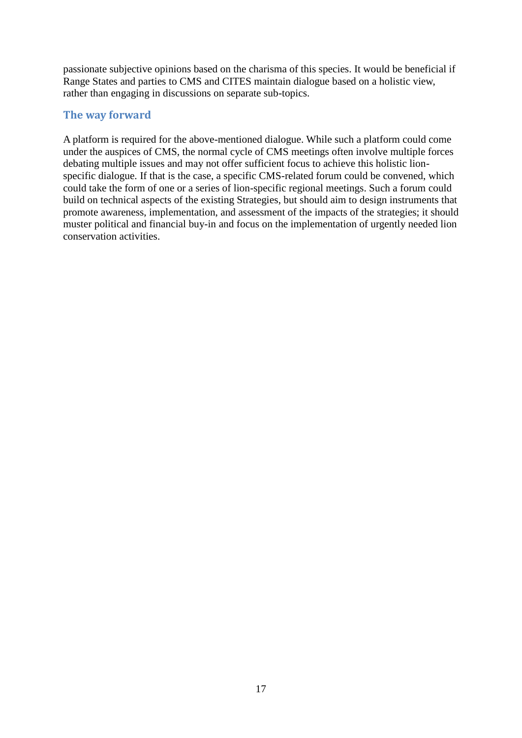passionate subjective opinions based on the charisma of this species. It would be beneficial if Range States and parties to CMS and CITES maintain dialogue based on a holistic view, rather than engaging in discussions on separate sub-topics.

#### <span id="page-16-0"></span>**The way forward**

A platform is required for the above-mentioned dialogue. While such a platform could come under the auspices of CMS, the normal cycle of CMS meetings often involve multiple forces debating multiple issues and may not offer sufficient focus to achieve this holistic lionspecific dialogue. If that is the case, a specific CMS-related forum could be convened, which could take the form of one or a series of lion-specific regional meetings. Such a forum could build on technical aspects of the existing Strategies, but should aim to design instruments that promote awareness, implementation, and assessment of the impacts of the strategies; it should muster political and financial buy-in and focus on the implementation of urgently needed lion conservation activities.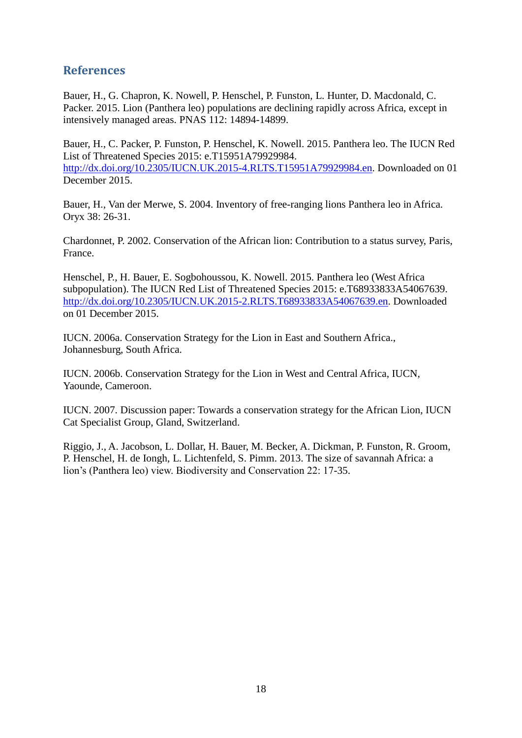## <span id="page-17-0"></span>**References**

Bauer, H., G. Chapron, K. Nowell, P. Henschel, P. Funston, L. Hunter, D. Macdonald, C. Packer. 2015. Lion (Panthera leo) populations are declining rapidly across Africa, except in intensively managed areas. PNAS 112: 14894-14899.

Bauer, H., C. Packer, P. Funston, P. Henschel, K. Nowell. 2015. Panthera leo. The IUCN Red List of Threatened Species 2015: e.T15951A79929984. [http://dx.doi.org/10.2305/IUCN.UK.2015-4.RLTS.T15951A79929984.en.](http://dx.doi.org/10.2305/IUCN.UK.2015-4.RLTS.T15951A79929984.en) Downloaded on 01 December 2015.

Bauer, H., Van der Merwe, S. 2004. Inventory of free-ranging lions Panthera leo in Africa. Oryx 38: 26-31.

Chardonnet, P. 2002. Conservation of the African lion: Contribution to a status survey, Paris, France.

Henschel, P., H. Bauer, E. Sogbohoussou, K. Nowell. 2015. Panthera leo (West Africa subpopulation). The IUCN Red List of Threatened Species 2015: e.T68933833A54067639. [http://dx.doi.org/10.2305/IUCN.UK.2015-2.RLTS.T68933833A54067639.en.](http://dx.doi.org/10.2305/IUCN.UK.2015-2.RLTS.T68933833A54067639.en) Downloaded on 01 December 2015.

IUCN. 2006a. Conservation Strategy for the Lion in East and Southern Africa., Johannesburg, South Africa.

IUCN. 2006b. Conservation Strategy for the Lion in West and Central Africa, IUCN, Yaounde, Cameroon.

IUCN. 2007. Discussion paper: Towards a conservation strategy for the African Lion, IUCN Cat Specialist Group, Gland, Switzerland.

Riggio, J., A. Jacobson, L. Dollar, H. Bauer, M. Becker, A. Dickman, P. Funston, R. Groom, P. Henschel, H. de Iongh, L. Lichtenfeld, S. Pimm. 2013. The size of savannah Africa: a lion's (Panthera leo) view. Biodiversity and Conservation 22: 17-35.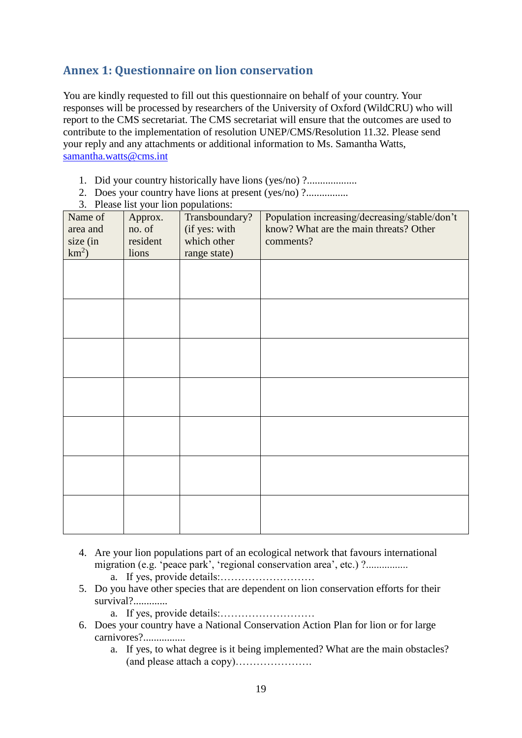# <span id="page-18-0"></span>**Annex 1: Questionnaire on lion conservation**

You are kindly requested to fill out this questionnaire on behalf of your country. Your responses will be processed by researchers of the University of Oxford (WildCRU) who will report to the CMS secretariat. The CMS secretariat will ensure that the outcomes are used to contribute to the implementation of resolution UNEP/CMS/Resolution 11.32. Please send your reply and any attachments or additional information to Ms. Samantha Watts, [samantha.watts@cms.int](mailto:samantha.watts@cms.int)

- 1. Did your country historically have lions (yes/no) ?...................
- 2. Does your country have lions at present (yes/no) ?................
- 3. Please list your lion populations:

| Name of<br>area and<br>size (in<br>$km^2$ ) | Approx.<br>no. of<br>resident<br>lions | Transboundary?<br>(if yes: with<br>which other<br>range state) | Population increasing/decreasing/stable/don't<br>know? What are the main threats? Other<br>comments? |
|---------------------------------------------|----------------------------------------|----------------------------------------------------------------|------------------------------------------------------------------------------------------------------|
|                                             |                                        |                                                                |                                                                                                      |
|                                             |                                        |                                                                |                                                                                                      |
|                                             |                                        |                                                                |                                                                                                      |
|                                             |                                        |                                                                |                                                                                                      |
|                                             |                                        |                                                                |                                                                                                      |
|                                             |                                        |                                                                |                                                                                                      |
|                                             |                                        |                                                                |                                                                                                      |

- 4. Are your lion populations part of an ecological network that favours international migration (e.g. 'peace park', 'regional conservation area', etc.) ?................
	- a. If yes, provide details:………………………
- 5. Do you have other species that are dependent on lion conservation efforts for their survival?..............
	- a. If yes, provide details:………………………
- 6. Does your country have a National Conservation Action Plan for lion or for large carnivores?................
	- a. If yes, to what degree is it being implemented? What are the main obstacles? (and please attach a copy)………………….